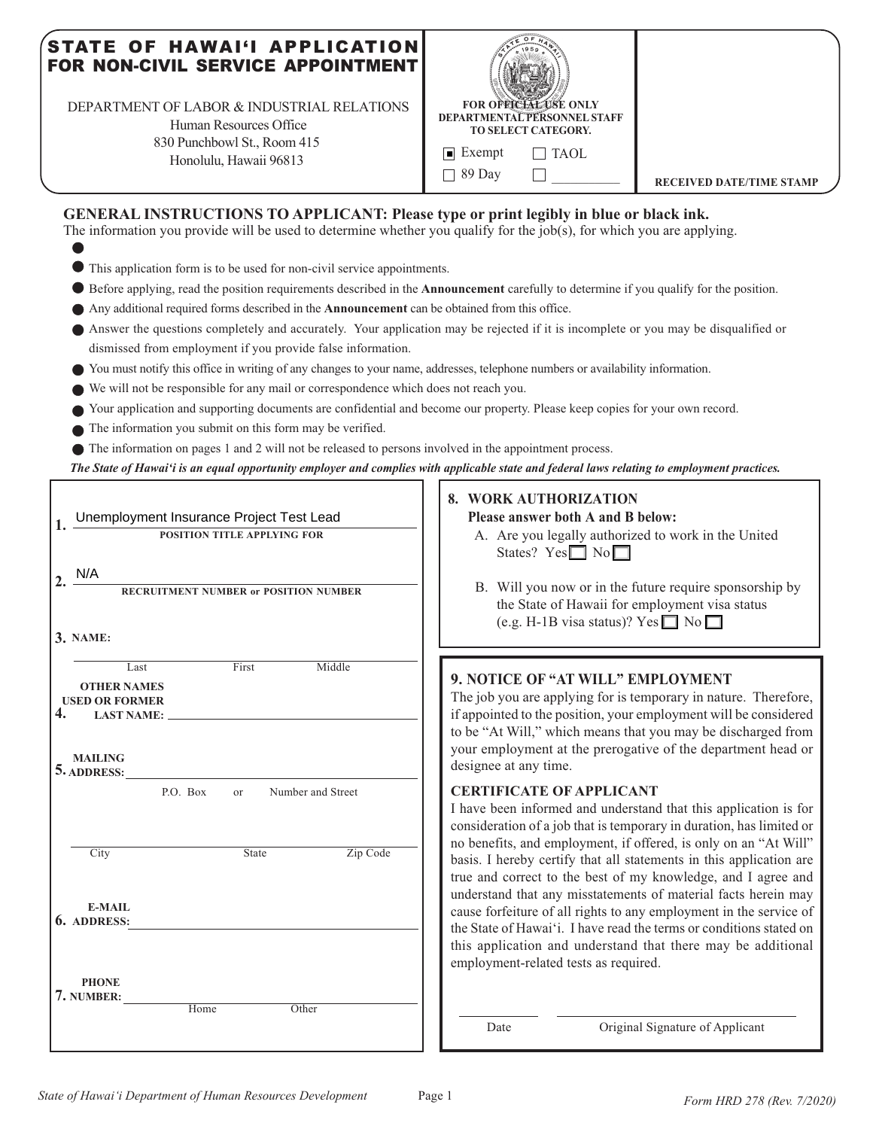### STATE OF HAWAI'I APPLICATION FOR NON-CIVIL SERVICE APPOINTMENT

DEPARTMENT OF LABOR & INDUSTRIAL RELATIONS Human Resources Office

830 Punchbowl St., Room 415 Honolulu, Hawaii 96813



### **GENERAL INSTRUCTIONS TO APPLICANT: Please type or print legibly in blue or black ink.**

The information you provide will be used to determine whether you qualify for the job(s), for which you are applying.

- This application form is to be used for non-civil service appointments.
- Before applying, read the position requirements described in the **Announcement** carefully to determine if you qualify for the position.
- Any additional required forms described in the **Announcement** can be obtained from this office.
- Answer the questions completely and accurately. Your application may be rejected if it is incomplete or you may be disqualified or dismissed from employment if you provide false information.
- You must notify this office in writing of any changes to your name, addresses, telephone numbers or availability information.
- We will not be responsible for any mail or correspondence which does not reach you.
- Your application and supporting documents are confidential and become our property. Please keep copies for your own record.
- The information you submit on this form may be verified.

The information on pages 1 and 2 will not be released to persons involved in the appointment process.

*The State of Hawai'i is an equal opportunity employer and complies with applicable state and federal laws relating to employment practices.* - 0

|                                                                                                                                                                                                                   | 8. WORK AUTHORIZATION                                                                                                                                                                                                                                                                                                                                                                                                                                                                                                                                                                                                                                       |  |  |  |  |
|-------------------------------------------------------------------------------------------------------------------------------------------------------------------------------------------------------------------|-------------------------------------------------------------------------------------------------------------------------------------------------------------------------------------------------------------------------------------------------------------------------------------------------------------------------------------------------------------------------------------------------------------------------------------------------------------------------------------------------------------------------------------------------------------------------------------------------------------------------------------------------------------|--|--|--|--|
| Unemployment Insurance Project Test Lead                                                                                                                                                                          | Please answer both A and B below:                                                                                                                                                                                                                                                                                                                                                                                                                                                                                                                                                                                                                           |  |  |  |  |
| POSITION TITLE APPLYING FOR                                                                                                                                                                                       | A. Are you legally authorized to work in the United<br>States? $Yes \Box No \Box$                                                                                                                                                                                                                                                                                                                                                                                                                                                                                                                                                                           |  |  |  |  |
| N/A<br>$\mathbf{2}$<br>RECRUITMENT NUMBER or POSITION NUMBER<br>3. NAME:                                                                                                                                          | B. Will you now or in the future require sponsorship by<br>the State of Hawaii for employment visa status<br>(e.g. H-1B visa status)? Yes $\Box$ No $\Box$                                                                                                                                                                                                                                                                                                                                                                                                                                                                                                  |  |  |  |  |
| First<br>Middle<br>Last<br><b>OTHER NAMES</b><br><b>USED OR FORMER</b><br>4.<br><b>LAST NAME:</b><br><b>MAILING</b><br>5. ADDRESS:<br>Number and Street<br>P.O. Box<br><sub>or</sub><br>Zip Code<br>State<br>City | 9. NOTICE OF "AT WILL" EMPLOYMENT<br>The job you are applying for is temporary in nature. Therefore,<br>if appointed to the position, your employment will be considered<br>to be "At Will," which means that you may be discharged from<br>your employment at the prerogative of the department head or<br>designee at any time.<br><b>CERTIFICATE OF APPLICANT</b><br>I have been informed and understand that this application is for<br>consideration of a job that is temporary in duration, has limited or<br>no benefits, and employment, if offered, is only on an "At Will"<br>basis. I hereby certify that all statements in this application are |  |  |  |  |
| <b>E-MAIL</b><br>6. ADDRESS:<br><b>PHONE</b><br>7. NUMBER:<br>Home<br>Other                                                                                                                                       | true and correct to the best of my knowledge, and I agree and<br>understand that any misstatements of material facts herein may<br>cause forfeiture of all rights to any employment in the service of<br>the State of Hawai'i. I have read the terms or conditions stated on<br>this application and understand that there may be additional<br>employment-related tests as required.<br>Original Signature of Applicant<br>Date                                                                                                                                                                                                                            |  |  |  |  |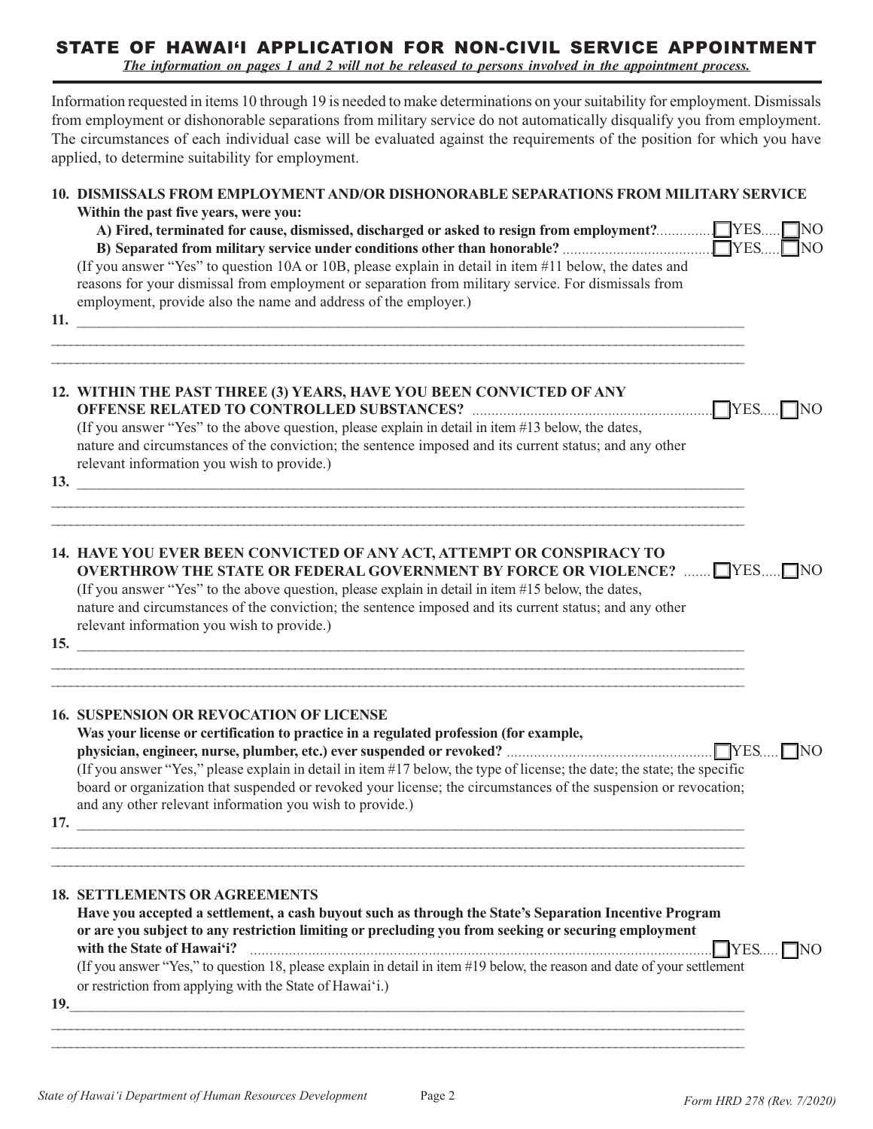# STATE OF HAWAI'I APPLICATION FOR NON-CIVIL SERVICE APPOINTMENT

*The information on pages 1 and 2 will not be released to persons involved in the appointment process.*

Information requested in items 10 through 19 is needed to make determinations on your suitability for employment. Dismissals from employment or dishonorable separations from military service do not automatically disqualify you from employment. The circumstances of each individual case will be evaluated against the requirements of the position for which you have applied, to determine suitability for employment.

# **10. DISMISSALS FROM EMPLOYMENT AND/OR DISHONORABLE SEPARATIONS FROM MILITARY SERVICE Within the past five years, were you: A) Fired, terminated for cause, dismissed, discharged or asked to resign from employment?** ............... YES NO ..... **B) Separated from military service under conditions other than honorable?** ....................................... ..... YES NO (If you answer "Yes" to question 10A or 10B, please explain in detail in item #11 below, the dates and reasons for your dismissal from employment or separation from military service. For dismissals from employment, provide also the name and address of the employer.) **11.** \_\_\_\_\_\_\_\_\_\_\_\_\_\_\_\_\_\_\_\_\_\_\_\_\_\_\_\_\_\_\_\_\_\_\_\_\_\_\_\_\_\_\_\_\_\_\_\_\_\_\_\_\_\_\_\_\_\_\_\_\_\_\_\_\_\_\_\_\_\_\_\_\_\_\_\_\_\_\_\_\_\_\_\_\_\_\_\_\_\_\_\_ \_\_\_\_\_\_\_\_\_\_\_\_\_\_\_\_\_\_\_\_\_\_\_\_\_\_\_\_\_\_\_\_\_\_\_\_\_\_\_\_\_\_\_\_\_\_\_\_\_\_\_\_\_\_\_\_\_\_\_\_\_\_\_\_\_\_\_\_\_\_\_\_\_\_\_\_\_\_\_\_\_\_\_\_\_\_\_\_\_\_\_\_\_\_\_\_\_\_\_\_\_\_\_\_\_\_\_\_ \_\_\_\_\_\_\_\_\_\_\_\_\_\_\_\_\_\_\_\_\_\_\_\_\_\_\_\_\_\_\_\_\_\_\_\_\_\_\_\_\_\_\_\_\_\_\_\_\_\_\_\_\_\_\_\_\_\_\_\_\_\_\_\_\_\_\_\_\_\_\_\_\_\_\_\_\_\_\_\_\_\_\_\_\_\_\_\_\_\_\_\_\_\_\_\_\_\_\_\_\_\_\_\_\_\_\_\_ **12. WITHIN THE PAST THREE (3) YEARS, HAVE YOU BEEN CONVICTED OF ANY OFFENSE RELATED TO CONTROLLED SUBSTANCES?** .............................................................. YES NO ..... (If you answer "Yes" to the above question, please explain in detail in item #13 below, the dates, nature and circumstances of the conviction; the sentence imposed and its current status; and any other relevant information you wish to provide.) 13. \_\_\_\_\_\_\_\_\_\_\_\_\_\_\_\_\_\_\_\_\_\_\_\_\_\_\_\_\_\_\_\_\_\_\_\_\_\_\_\_\_\_\_\_\_\_\_\_\_\_\_\_\_\_\_\_\_\_\_\_\_\_\_\_\_\_\_\_\_\_\_\_\_\_\_\_\_\_\_\_\_\_\_\_\_\_\_\_\_\_\_\_\_\_\_\_\_\_\_\_\_\_\_\_\_\_\_\_ \_\_\_\_\_\_\_\_\_\_\_\_\_\_\_\_\_\_\_\_\_\_\_\_\_\_\_\_\_\_\_\_\_\_\_\_\_\_\_\_\_\_\_\_\_\_\_\_\_\_\_\_\_\_\_\_\_\_\_\_\_\_\_\_\_\_\_\_\_\_\_\_\_\_\_\_\_\_\_\_\_\_\_\_\_\_\_\_\_\_\_\_\_\_\_\_\_\_\_\_\_\_\_\_\_\_\_\_ **14. HAVE YOU EVER BEEN CONVICTED OF ANY ACT, ATTEMPT OR CONSPIRACY TO OVERTHROW THE STATE OR FEDERAL GOVERNMENT BY FORCE OR VIOLENCE?** ....... WES..... NO (If you answer "Yes" to the above question, please explain in detail in item #15 below, the dates, nature and circumstances of the conviction; the sentence imposed and its current status; and any other relevant information you wish to provide.) **15.** \_\_\_\_\_\_\_\_\_\_\_\_\_\_\_\_\_\_\_\_\_\_\_\_\_\_\_\_\_\_\_\_\_\_\_\_\_\_\_\_\_\_\_\_\_\_\_\_\_\_\_\_\_\_\_\_\_\_\_\_\_\_\_\_\_\_\_\_\_\_\_\_\_\_\_\_\_\_\_\_\_\_\_\_\_\_\_\_\_\_\_\_ \_\_\_\_\_\_\_\_\_\_\_\_\_\_\_\_\_\_\_\_\_\_\_\_\_\_\_\_\_\_\_\_\_\_\_\_\_\_\_\_\_\_\_\_\_\_\_\_\_\_\_\_\_\_\_\_\_\_\_\_\_\_\_\_\_\_\_\_\_\_\_\_\_\_\_\_\_\_\_\_\_\_\_\_\_\_\_\_\_\_\_\_\_\_\_\_\_\_\_\_\_\_\_\_\_\_\_\_ \_\_\_\_\_\_\_\_\_\_\_\_\_\_\_\_\_\_\_\_\_\_\_\_\_\_\_\_\_\_\_\_\_\_\_\_\_\_\_\_\_\_\_\_\_\_\_\_\_\_\_\_\_\_\_\_\_\_\_\_\_\_\_\_\_\_\_\_\_\_\_\_\_\_\_\_\_\_\_\_\_\_\_\_\_\_\_\_\_\_\_\_\_\_\_\_\_\_\_\_\_\_\_\_\_\_\_\_ **16. SUSPENSION OR REVOCATION OF LICENSE Was your license or certification to practice in a regulated profession (for example, physician, engineer, nurse, plumber, etc.) ever suspended or revoked?** ..................................................... YES NO .....(If you answer "Yes," please explain in detail in item #17 below, the type of license; the date; the state; the specific board or organization that suspended or revoked your license; the circumstances of the suspension or revocation; and any other relevant information you wish to provide.) **17.** \_\_\_\_\_\_\_\_\_\_\_\_\_\_\_\_\_\_\_\_\_\_\_\_\_\_\_\_\_\_\_\_\_\_\_\_\_\_\_\_\_\_\_\_\_\_\_\_\_\_\_\_\_\_\_\_\_\_\_\_\_\_\_\_\_\_\_\_\_\_\_\_\_\_\_\_\_\_\_\_\_\_\_\_\_\_\_\_\_\_\_\_ \_\_\_\_\_\_\_\_\_\_\_\_\_\_\_\_\_\_\_\_\_\_\_\_\_\_\_\_\_\_\_\_\_\_\_\_\_\_\_\_\_\_\_\_\_\_\_\_\_\_\_\_\_\_\_\_\_\_\_\_\_\_\_\_\_\_\_\_\_\_\_\_\_\_\_\_\_\_\_\_\_\_\_\_\_\_\_\_\_\_\_\_\_\_\_\_\_\_\_\_\_\_\_\_\_\_\_\_ **18. SETTLEMENTS OR AGREEMENTS Have you accepted a settlement, a cash buyout such as through the State's Separation Incentive Program or are you subject to any restriction limiting or precluding you from seeking or securing employment with the State of Hawai'i?** ....................................................................................................................... YES NO ..... (If you answer "Yes," to question 18, please explain in detail in item #19 below, the reason and date of your settlement or restriction from applying with the State of Hawai'i.) **19.**\_\_\_\_\_\_\_\_\_\_\_\_\_\_\_\_\_\_\_\_\_\_\_\_\_\_\_\_\_\_\_\_\_\_\_\_\_\_\_\_\_\_\_\_\_\_\_\_\_\_\_\_\_\_\_\_\_\_\_\_\_\_\_\_\_\_\_\_\_\_\_\_\_\_\_\_\_\_\_\_\_\_\_\_\_\_\_\_\_\_\_\_\_ \_\_\_\_\_\_\_\_\_\_\_\_\_\_\_\_\_\_\_\_\_\_\_\_\_\_\_\_\_\_\_\_\_\_\_\_\_\_\_\_\_\_\_\_\_\_\_\_\_\_\_\_\_\_\_\_\_\_\_\_\_\_\_\_\_\_\_\_\_\_\_\_\_\_\_\_\_\_\_\_\_\_\_\_\_\_\_\_\_\_\_\_\_\_\_\_\_\_\_\_\_\_\_\_\_\_\_\_ \_\_\_\_\_\_\_\_\_\_\_\_\_\_\_\_\_\_\_\_\_\_\_\_\_\_\_\_\_\_\_\_\_\_\_\_\_\_\_\_\_\_\_\_\_\_\_\_\_\_\_\_\_\_\_\_\_\_\_\_\_\_\_\_\_\_\_\_\_\_\_\_\_\_\_\_\_\_\_\_\_\_\_\_\_\_\_\_\_\_\_\_\_\_\_\_\_\_\_\_\_\_\_\_\_\_\_\_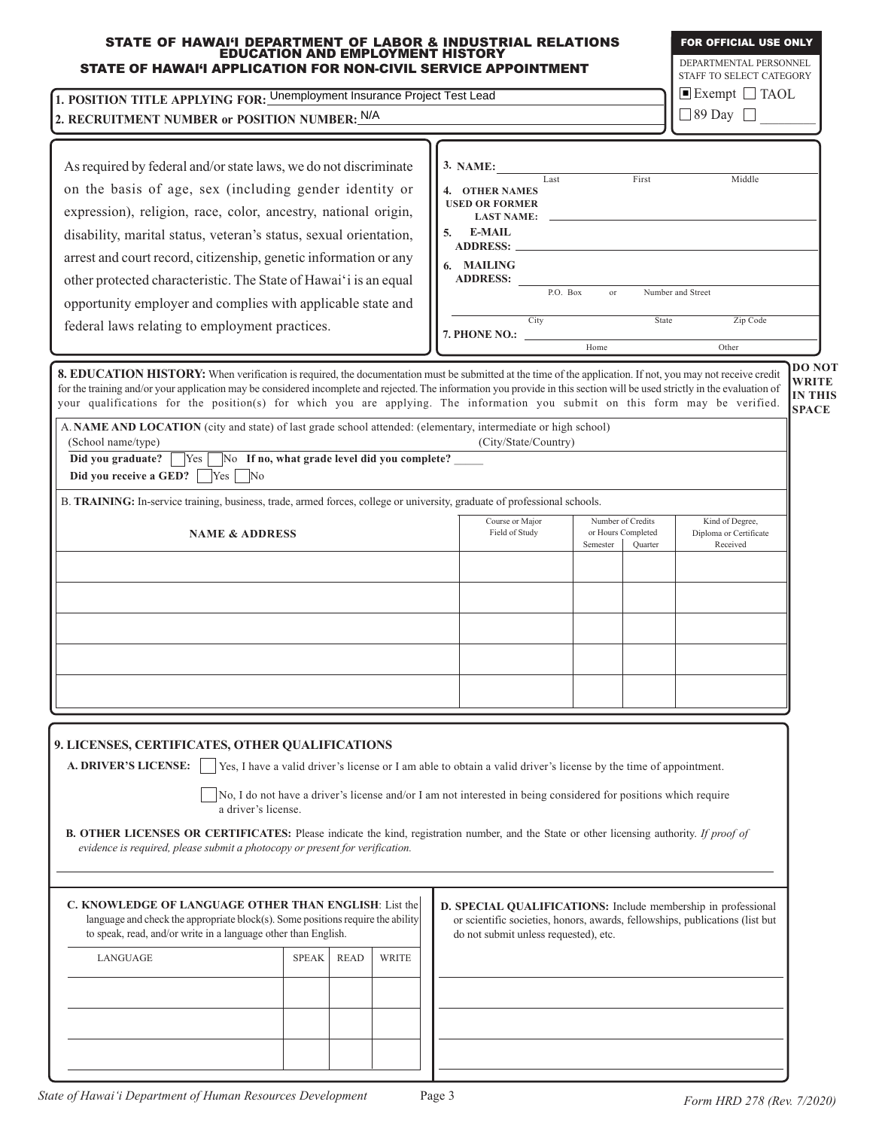| STATE OF HAWAI'I DEPARTMENT OF LABOR & INDUSTRIAL RELATIONS<br>EDUCATION AND EMPLOYMENT HISTORY<br>STATE OF HAWAI'I APPLICATION FOR NON-CIVIL SERVICE APPOINTMENT                                                                                                                                                                                                                                                                                                         |              |    |                                                                                                                                                                                        |          |                                         | <b>FOR OFFICIAL USE ONLY</b><br>DEPARTMENTAL PERSONNEL                |                                                |  |
|---------------------------------------------------------------------------------------------------------------------------------------------------------------------------------------------------------------------------------------------------------------------------------------------------------------------------------------------------------------------------------------------------------------------------------------------------------------------------|--------------|----|----------------------------------------------------------------------------------------------------------------------------------------------------------------------------------------|----------|-----------------------------------------|-----------------------------------------------------------------------|------------------------------------------------|--|
|                                                                                                                                                                                                                                                                                                                                                                                                                                                                           |              |    |                                                                                                                                                                                        |          |                                         | STAFF TO SELECT CATEGORY<br>$\blacksquare$ Exempt $\blacksquare$ TAOL |                                                |  |
| 1. POSITION TITLE APPLYING FOR: Unemployment Insurance Project Test Lead                                                                                                                                                                                                                                                                                                                                                                                                  |              |    |                                                                                                                                                                                        |          |                                         |                                                                       | $\Box$ 89 Day $\Box$                           |  |
| 2. RECRUITMENT NUMBER or POSITION NUMBER: N/A                                                                                                                                                                                                                                                                                                                                                                                                                             |              |    |                                                                                                                                                                                        |          |                                         |                                                                       |                                                |  |
| As required by federal and/or state laws, we do not discriminate                                                                                                                                                                                                                                                                                                                                                                                                          |              |    | 3. NAME:                                                                                                                                                                               |          |                                         |                                                                       |                                                |  |
| on the basis of age, sex (including gender identity or                                                                                                                                                                                                                                                                                                                                                                                                                    |              |    | Last<br>4. OTHER NAMES                                                                                                                                                                 |          | First                                   | Middle                                                                |                                                |  |
| expression), religion, race, color, ancestry, national origin,                                                                                                                                                                                                                                                                                                                                                                                                            |              |    | <b>USED OR FORMER</b>                                                                                                                                                                  |          |                                         |                                                                       |                                                |  |
| disability, marital status, veteran's status, sexual orientation,                                                                                                                                                                                                                                                                                                                                                                                                         |              | 5. | LAST NAME:<br>E-MAIL                                                                                                                                                                   |          |                                         |                                                                       |                                                |  |
| arrest and court record, citizenship, genetic information or any                                                                                                                                                                                                                                                                                                                                                                                                          |              |    |                                                                                                                                                                                        |          |                                         |                                                                       |                                                |  |
| other protected characteristic. The State of Hawai'i is an equal                                                                                                                                                                                                                                                                                                                                                                                                          |              |    | 6. MAILING<br>ADDRESS:                                                                                                                                                                 |          |                                         |                                                                       |                                                |  |
| opportunity employer and complies with applicable state and                                                                                                                                                                                                                                                                                                                                                                                                               |              |    | P.O. Box                                                                                                                                                                               | or       |                                         | Number and Street                                                     |                                                |  |
| federal laws relating to employment practices.                                                                                                                                                                                                                                                                                                                                                                                                                            |              |    | City                                                                                                                                                                                   |          | State                                   | Zip Code                                                              |                                                |  |
|                                                                                                                                                                                                                                                                                                                                                                                                                                                                           |              |    | 7. PHONE NO.:                                                                                                                                                                          | Home     |                                         | Other                                                                 |                                                |  |
|                                                                                                                                                                                                                                                                                                                                                                                                                                                                           |              |    |                                                                                                                                                                                        |          |                                         |                                                                       | <b>DO NOT</b>                                  |  |
| 8. EDUCATION HISTORY: When verification is required, the documentation must be submitted at the time of the application. If not, you may not receive credit<br>for the training and/or your application may be considered incomplete and rejected. The information you provide in this section will be used strictly in the evaluation of<br>your qualifications for the position(s) for which you are applying. The information you submit on this form may be verified. |              |    |                                                                                                                                                                                        |          |                                         |                                                                       | <b>WRITE</b><br><b>IN THIS</b><br><b>SPACE</b> |  |
| A. NAME AND LOCATION (city and state) of last grade school attended: (elementary, intermediate or high school)<br>(School name/type)                                                                                                                                                                                                                                                                                                                                      |              |    | (City/State/Country)                                                                                                                                                                   |          |                                         |                                                                       |                                                |  |
| No If no, what grade level did you complete?<br>Did you graduate?<br>$\bigcap$ Yes                                                                                                                                                                                                                                                                                                                                                                                        |              |    |                                                                                                                                                                                        |          |                                         |                                                                       |                                                |  |
| Did you receive a GED?  <br>$ Yes $ No                                                                                                                                                                                                                                                                                                                                                                                                                                    |              |    |                                                                                                                                                                                        |          |                                         |                                                                       |                                                |  |
| B. TRAINING: In-service training, business, trade, armed forces, college or university, graduate of professional schools.                                                                                                                                                                                                                                                                                                                                                 |              |    |                                                                                                                                                                                        |          |                                         |                                                                       |                                                |  |
| <b>NAME &amp; ADDRESS</b>                                                                                                                                                                                                                                                                                                                                                                                                                                                 |              |    | Course or Major<br>Field of Study                                                                                                                                                      |          | Number of Credits<br>or Hours Completed | Kind of Degree,<br>Diploma or Certificate                             |                                                |  |
|                                                                                                                                                                                                                                                                                                                                                                                                                                                                           |              |    |                                                                                                                                                                                        | Semester | Quarter                                 | Received                                                              |                                                |  |
|                                                                                                                                                                                                                                                                                                                                                                                                                                                                           |              |    |                                                                                                                                                                                        |          |                                         |                                                                       |                                                |  |
|                                                                                                                                                                                                                                                                                                                                                                                                                                                                           |              |    |                                                                                                                                                                                        |          |                                         |                                                                       |                                                |  |
|                                                                                                                                                                                                                                                                                                                                                                                                                                                                           |              |    |                                                                                                                                                                                        |          |                                         |                                                                       |                                                |  |
|                                                                                                                                                                                                                                                                                                                                                                                                                                                                           |              |    |                                                                                                                                                                                        |          |                                         |                                                                       |                                                |  |
|                                                                                                                                                                                                                                                                                                                                                                                                                                                                           |              |    |                                                                                                                                                                                        |          |                                         |                                                                       |                                                |  |
|                                                                                                                                                                                                                                                                                                                                                                                                                                                                           |              |    |                                                                                                                                                                                        |          |                                         |                                                                       |                                                |  |
|                                                                                                                                                                                                                                                                                                                                                                                                                                                                           |              |    |                                                                                                                                                                                        |          |                                         |                                                                       |                                                |  |
| 9. LICENSES, CERTIFICATES, OTHER QUALIFICATIONS<br><b>A. DRIVER'S LICENSE:</b><br>Yes, I have a valid driver's license or I am able to obtain a valid driver's license by the time of appointment.<br>No, I do not have a driver's license and/or I am not interested in being considered for positions which require                                                                                                                                                     |              |    |                                                                                                                                                                                        |          |                                         |                                                                       |                                                |  |
| a driver's license.                                                                                                                                                                                                                                                                                                                                                                                                                                                       |              |    |                                                                                                                                                                                        |          |                                         |                                                                       |                                                |  |
| <b>B. OTHER LICENSES OR CERTIFICATES:</b> Please indicate the kind, registration number, and the State or other licensing authority. If proof of                                                                                                                                                                                                                                                                                                                          |              |    |                                                                                                                                                                                        |          |                                         |                                                                       |                                                |  |
| evidence is required, please submit a photocopy or present for verification.                                                                                                                                                                                                                                                                                                                                                                                              |              |    |                                                                                                                                                                                        |          |                                         |                                                                       |                                                |  |
|                                                                                                                                                                                                                                                                                                                                                                                                                                                                           |              |    |                                                                                                                                                                                        |          |                                         |                                                                       |                                                |  |
| C. KNOWLEDGE OF LANGUAGE OTHER THAN ENGLISH: List the<br>language and check the appropriate block(s). Some positions require the ability<br>to speak, read, and/or write in a language other than English.                                                                                                                                                                                                                                                                |              |    | D. SPECIAL QUALIFICATIONS: Include membership in professional<br>or scientific societies, honors, awards, fellowships, publications (list but<br>do not submit unless requested), etc. |          |                                         |                                                                       |                                                |  |
| <b>SPEAK</b><br><b>READ</b><br>LANGUAGE                                                                                                                                                                                                                                                                                                                                                                                                                                   | <b>WRITE</b> |    |                                                                                                                                                                                        |          |                                         |                                                                       |                                                |  |
|                                                                                                                                                                                                                                                                                                                                                                                                                                                                           |              |    |                                                                                                                                                                                        |          |                                         |                                                                       |                                                |  |
|                                                                                                                                                                                                                                                                                                                                                                                                                                                                           |              |    |                                                                                                                                                                                        |          |                                         |                                                                       |                                                |  |
|                                                                                                                                                                                                                                                                                                                                                                                                                                                                           |              |    |                                                                                                                                                                                        |          |                                         |                                                                       |                                                |  |
|                                                                                                                                                                                                                                                                                                                                                                                                                                                                           |              |    |                                                                                                                                                                                        |          |                                         |                                                                       |                                                |  |
|                                                                                                                                                                                                                                                                                                                                                                                                                                                                           |              |    |                                                                                                                                                                                        |          |                                         |                                                                       |                                                |  |

FOR OFFICIAL USE ONLY